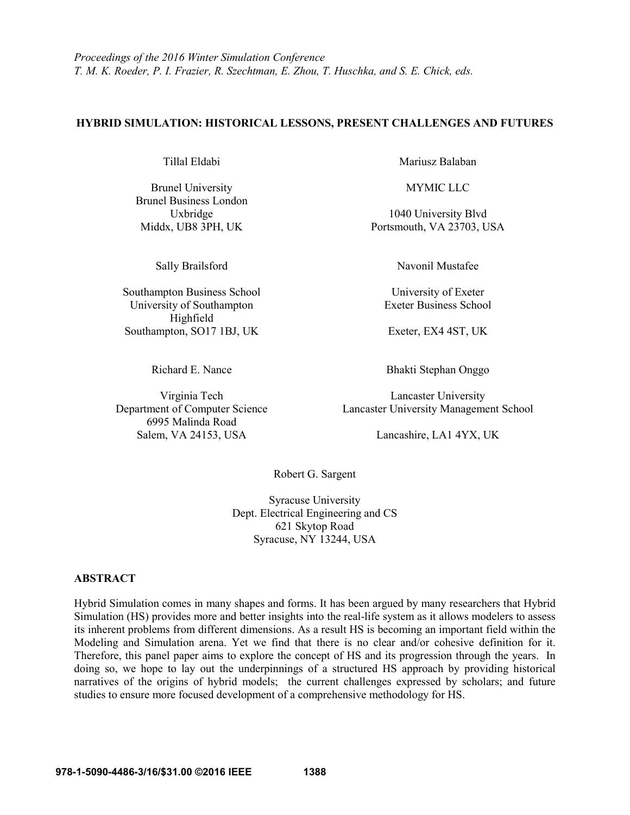### **HYBRID SIMULATION: HISTORICAL LESSONS, PRESENT CHALLENGES AND FUTURES**

Brunel University MYMIC LLC Brunel Business London

Southampton Business School University of Exeter University of Southampton Exeter Business School Highfield Southampton, SO17 1BJ, UK Exeter, EX4 4ST, UK

6995 Malinda Road Salem, VA 24153, USA Lancashire, LA1 4YX, UK

Tillal Eldabi Mariusz Balaban

Uxbridge 1040 University Blvd Middx, UB8 3PH, UK Portsmouth, VA 23703, USA

Sally Brailsford Navonil Mustafee

Richard E. Nance Bhakti Stephan Onggo

Virginia Tech Lancaster University Department of Computer Science Lancaster University Management School

Robert G. Sargent

Syracuse University Dept. Electrical Engineering and CS 621 Skytop Road Syracuse, NY 13244, USA

### **ABSTRACT**

Hybrid Simulation comes in many shapes and forms. It has been argued by many researchers that Hybrid Simulation (HS) provides more and better insights into the real-life system as it allows modelers to assess its inherent problems from different dimensions. As a result HS is becoming an important field within the Modeling and Simulation arena. Yet we find that there is no clear and/or cohesive definition for it. Therefore, this panel paper aims to explore the concept of HS and its progression through the years. In doing so, we hope to lay out the underpinnings of a structured HS approach by providing historical narratives of the origins of hybrid models; the current challenges expressed by scholars; and future studies to ensure more focused development of a comprehensive methodology for HS.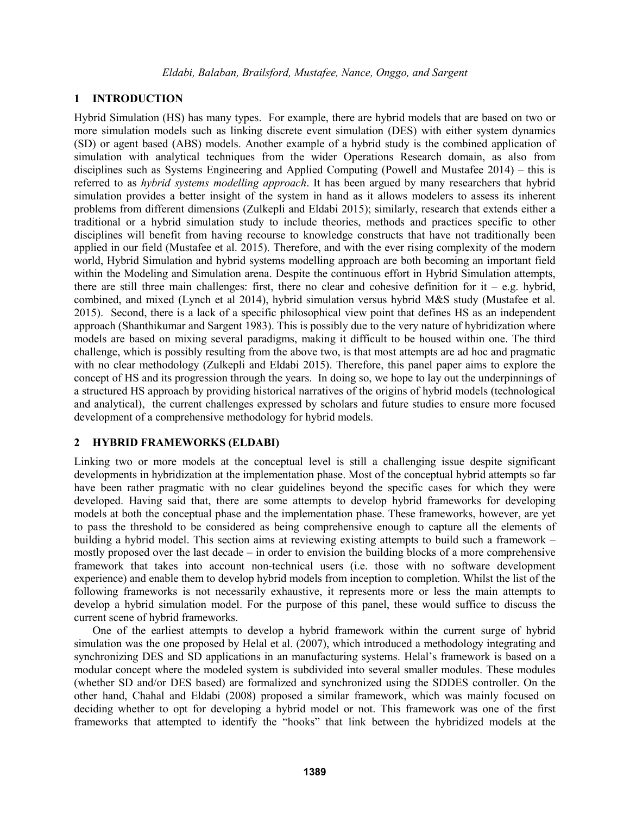# **1 INTRODUCTION**

Hybrid Simulation (HS) has many types. For example, there are hybrid models that are based on two or more simulation models such as linking discrete event simulation (DES) with either system dynamics (SD) or agent based (ABS) models. Another example of a hybrid study is the combined application of simulation with analytical techniques from the wider Operations Research domain, as also from disciplines such as Systems Engineering and Applied Computing (Powell and Mustafee 2014) – this is referred to as *hybrid systems modelling approach*. It has been argued by many researchers that hybrid simulation provides a better insight of the system in hand as it allows modelers to assess its inherent problems from different dimensions (Zulkepli and Eldabi 2015); similarly, research that extends either a traditional or a hybrid simulation study to include theories, methods and practices specific to other disciplines will benefit from having recourse to knowledge constructs that have not traditionally been applied in our field (Mustafee et al. 2015). Therefore, and with the ever rising complexity of the modern world, Hybrid Simulation and hybrid systems modelling approach are both becoming an important field within the Modeling and Simulation arena. Despite the continuous effort in Hybrid Simulation attempts, there are still three main challenges: first, there no clear and cohesive definition for  $it - e.g.$  hybrid, combined, and mixed (Lynch et al 2014), hybrid simulation versus hybrid M&S study (Mustafee et al. 2015). Second, there is a lack of a specific philosophical view point that defines HS as an independent approach (Shanthikumar and Sargent 1983). This is possibly due to the very nature of hybridization where models are based on mixing several paradigms, making it difficult to be housed within one. The third challenge, which is possibly resulting from the above two, is that most attempts are ad hoc and pragmatic with no clear methodology (Zulkepli and Eldabi 2015). Therefore, this panel paper aims to explore the concept of HS and its progression through the years. In doing so, we hope to lay out the underpinnings of a structured HS approach by providing historical narratives of the origins of hybrid models (technological and analytical), the current challenges expressed by scholars and future studies to ensure more focused development of a comprehensive methodology for hybrid models.

## **2 HYBRID FRAMEWORKS (ELDABI)**

Linking two or more models at the conceptual level is still a challenging issue despite significant developments in hybridization at the implementation phase. Most of the conceptual hybrid attempts so far have been rather pragmatic with no clear guidelines beyond the specific cases for which they were developed. Having said that, there are some attempts to develop hybrid frameworks for developing models at both the conceptual phase and the implementation phase. These frameworks, however, are yet to pass the threshold to be considered as being comprehensive enough to capture all the elements of building a hybrid model. This section aims at reviewing existing attempts to build such a framework – mostly proposed over the last decade – in order to envision the building blocks of a more comprehensive framework that takes into account non-technical users (i.e. those with no software development experience) and enable them to develop hybrid models from inception to completion. Whilst the list of the following frameworks is not necessarily exhaustive, it represents more or less the main attempts to develop a hybrid simulation model. For the purpose of this panel, these would suffice to discuss the current scene of hybrid frameworks.

One of the earliest attempts to develop a hybrid framework within the current surge of hybrid simulation was the one proposed by Helal et al. (2007), which introduced a methodology integrating and synchronizing DES and SD applications in an manufacturing systems. Helal's framework is based on a modular concept where the modeled system is subdivided into several smaller modules. These modules (whether SD and/or DES based) are formalized and synchronized using the SDDES controller. On the other hand, Chahal and Eldabi (2008) proposed a similar framework, which was mainly focused on deciding whether to opt for developing a hybrid model or not. This framework was one of the first frameworks that attempted to identify the "hooks" that link between the hybridized models at the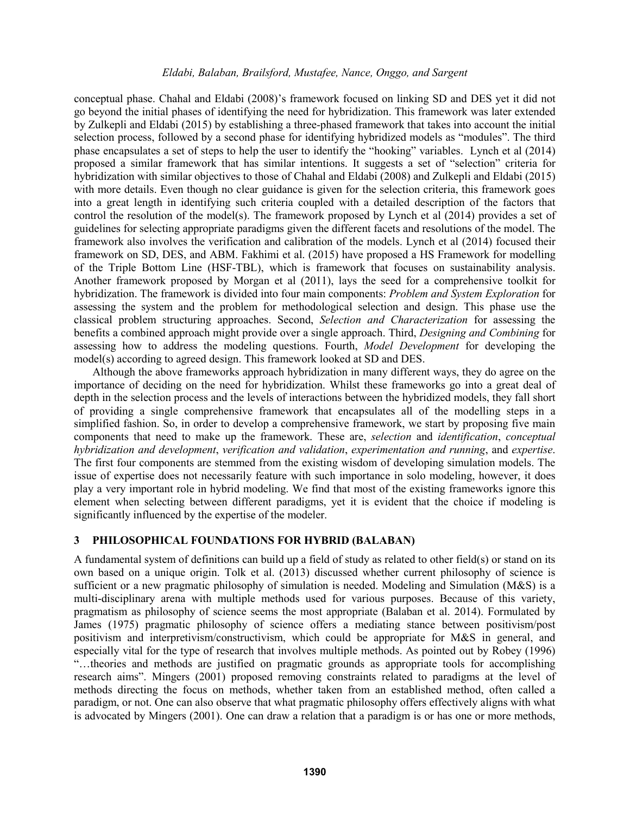conceptual phase. Chahal and Eldabi (2008)'s framework focused on linking SD and DES yet it did not go beyond the initial phases of identifying the need for hybridization. This framework was later extended by Zulkepli and Eldabi (2015) by establishing a three-phased framework that takes into account the initial selection process, followed by a second phase for identifying hybridized models as "modules". The third phase encapsulates a set of steps to help the user to identify the "hooking" variables. Lynch et al (2014) proposed a similar framework that has similar intentions. It suggests a set of "selection" criteria for hybridization with similar objectives to those of Chahal and Eldabi (2008) and Zulkepli and Eldabi (2015) with more details. Even though no clear guidance is given for the selection criteria, this framework goes into a great length in identifying such criteria coupled with a detailed description of the factors that control the resolution of the model(s). The framework proposed by Lynch et al (2014) provides a set of guidelines for selecting appropriate paradigms given the different facets and resolutions of the model. The framework also involves the verification and calibration of the models. Lynch et al (2014) focused their framework on SD, DES, and ABM. Fakhimi et al. (2015) have proposed a HS Framework for modelling of the Triple Bottom Line (HSF-TBL), which is framework that focuses on sustainability analysis. Another framework proposed by Morgan et al (2011), lays the seed for a comprehensive toolkit for hybridization. The framework is divided into four main components: *Problem and System Exploration* for assessing the system and the problem for methodological selection and design. This phase use the classical problem structuring approaches. Second, *Selection and Characterization* for assessing the benefits a combined approach might provide over a single approach. Third, *Designing and Combining* for assessing how to address the modeling questions. Fourth, *Model Development* for developing the model(s) according to agreed design. This framework looked at SD and DES.

Although the above frameworks approach hybridization in many different ways, they do agree on the importance of deciding on the need for hybridization. Whilst these frameworks go into a great deal of depth in the selection process and the levels of interactions between the hybridized models, they fall short of providing a single comprehensive framework that encapsulates all of the modelling steps in a simplified fashion. So, in order to develop a comprehensive framework, we start by proposing five main components that need to make up the framework. These are, *selection* and *identification*, *conceptual hybridization and development*, *verification and validation*, *experimentation and running*, and *expertise*. The first four components are stemmed from the existing wisdom of developing simulation models. The issue of expertise does not necessarily feature with such importance in solo modeling, however, it does play a very important role in hybrid modeling. We find that most of the existing frameworks ignore this element when selecting between different paradigms, yet it is evident that the choice if modeling is significantly influenced by the expertise of the modeler.

## **3 PHILOSOPHICAL FOUNDATIONS FOR HYBRID (BALABAN)**

A fundamental system of definitions can build up a field of study as related to other field(s) or stand on its own based on a unique origin. Tolk et al. (2013) discussed whether current philosophy of science is sufficient or a new pragmatic philosophy of simulation is needed. Modeling and Simulation (M&S) is a multi-disciplinary arena with multiple methods used for various purposes. Because of this variety, pragmatism as philosophy of science seems the most appropriate (Balaban et al. 2014). Formulated by James (1975) pragmatic philosophy of science offers a mediating stance between positivism/post positivism and interpretivism/constructivism, which could be appropriate for M&S in general, and especially vital for the type of research that involves multiple methods. As pointed out by Robey (1996) "…theories and methods are justified on pragmatic grounds as appropriate tools for accomplishing research aims". Mingers (2001) proposed removing constraints related to paradigms at the level of methods directing the focus on methods, whether taken from an established method, often called a paradigm, or not. One can also observe that what pragmatic philosophy offers effectively aligns with what is advocated by Mingers (2001). One can draw a relation that a paradigm is or has one or more methods,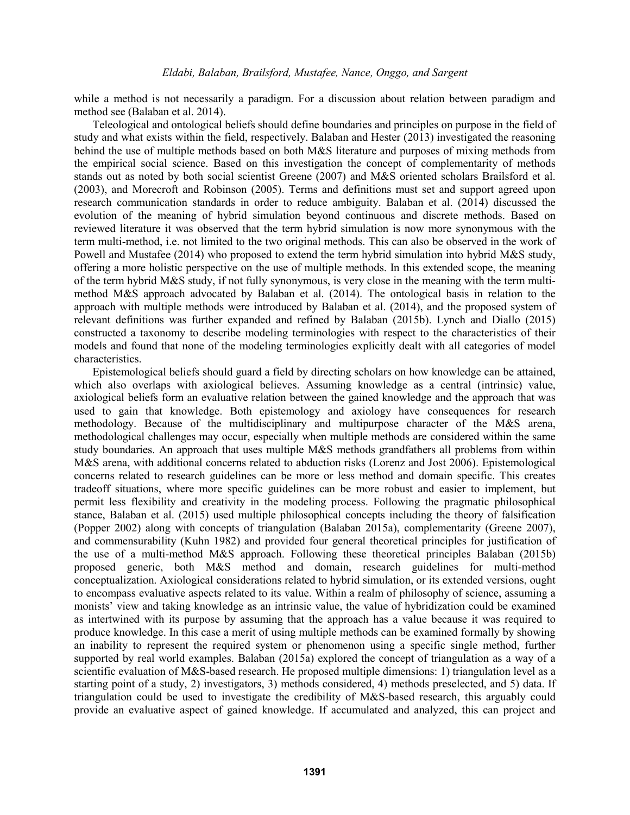while a method is not necessarily a paradigm. For a discussion about relation between paradigm and method see (Balaban et al. 2014).

Teleological and ontological beliefs should define boundaries and principles on purpose in the field of study and what exists within the field, respectively. Balaban and Hester (2013) investigated the reasoning behind the use of multiple methods based on both M&S literature and purposes of mixing methods from the empirical social science. Based on this investigation the concept of complementarity of methods stands out as noted by both social scientist Greene (2007) and M&S oriented scholars Brailsford et al. (2003), and Morecroft and Robinson (2005). Terms and definitions must set and support agreed upon research communication standards in order to reduce ambiguity. Balaban et al. (2014) discussed the evolution of the meaning of hybrid simulation beyond continuous and discrete methods. Based on reviewed literature it was observed that the term hybrid simulation is now more synonymous with the term multi-method, i.e. not limited to the two original methods. This can also be observed in the work of Powell and Mustafee (2014) who proposed to extend the term hybrid simulation into hybrid M&S study, offering a more holistic perspective on the use of multiple methods. In this extended scope, the meaning of the term hybrid M&S study, if not fully synonymous, is very close in the meaning with the term multimethod M&S approach advocated by Balaban et al. (2014). The ontological basis in relation to the approach with multiple methods were introduced by Balaban et al. (2014), and the proposed system of relevant definitions was further expanded and refined by Balaban (2015b). Lynch and Diallo (2015) constructed a taxonomy to describe modeling terminologies with respect to the characteristics of their models and found that none of the modeling terminologies explicitly dealt with all categories of model characteristics.

Epistemological beliefs should guard a field by directing scholars on how knowledge can be attained, which also overlaps with axiological believes. Assuming knowledge as a central (intrinsic) value, axiological beliefs form an evaluative relation between the gained knowledge and the approach that was used to gain that knowledge. Both epistemology and axiology have consequences for research methodology. Because of the multidisciplinary and multipurpose character of the M&S arena, methodological challenges may occur, especially when multiple methods are considered within the same study boundaries. An approach that uses multiple M&S methods grandfathers all problems from within M&S arena, with additional concerns related to abduction risks (Lorenz and Jost 2006). Epistemological concerns related to research guidelines can be more or less method and domain specific. This creates tradeoff situations, where more specific guidelines can be more robust and easier to implement, but permit less flexibility and creativity in the modeling process. Following the pragmatic philosophical stance, Balaban et al. (2015) used multiple philosophical concepts including the theory of falsification (Popper 2002) along with concepts of triangulation (Balaban 2015a), complementarity (Greene 2007), and commensurability (Kuhn 1982) and provided four general theoretical principles for justification of the use of a multi-method M&S approach. Following these theoretical principles Balaban (2015b) proposed generic, both M&S method and domain, research guidelines for multi-method conceptualization. Axiological considerations related to hybrid simulation, or its extended versions, ought to encompass evaluative aspects related to its value. Within a realm of philosophy of science, assuming a monists' view and taking knowledge as an intrinsic value, the value of hybridization could be examined as intertwined with its purpose by assuming that the approach has a value because it was required to produce knowledge. In this case a merit of using multiple methods can be examined formally by showing an inability to represent the required system or phenomenon using a specific single method, further supported by real world examples. Balaban (2015a) explored the concept of triangulation as a way of a scientific evaluation of M&S-based research. He proposed multiple dimensions: 1) triangulation level as a starting point of a study, 2) investigators, 3) methods considered, 4) methods preselected, and 5) data. If triangulation could be used to investigate the credibility of M&S-based research, this arguably could provide an evaluative aspect of gained knowledge. If accumulated and analyzed, this can project and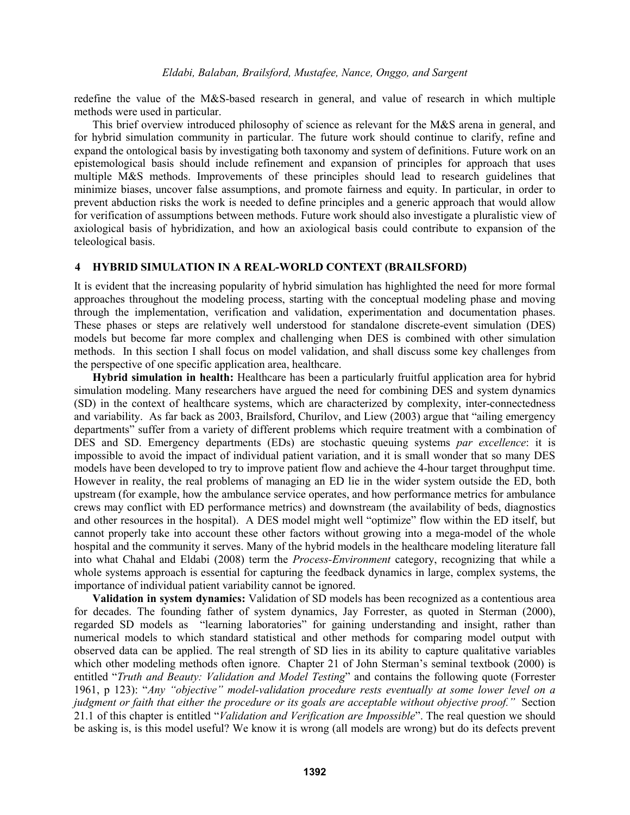redefine the value of the M&S-based research in general, and value of research in which multiple methods were used in particular.

This brief overview introduced philosophy of science as relevant for the M&S arena in general, and for hybrid simulation community in particular. The future work should continue to clarify, refine and expand the ontological basis by investigating both taxonomy and system of definitions. Future work on an epistemological basis should include refinement and expansion of principles for approach that uses multiple M&S methods. Improvements of these principles should lead to research guidelines that minimize biases, uncover false assumptions, and promote fairness and equity. In particular, in order to prevent abduction risks the work is needed to define principles and a generic approach that would allow for verification of assumptions between methods. Future work should also investigate a pluralistic view of axiological basis of hybridization, and how an axiological basis could contribute to expansion of the teleological basis.

### **4 HYBRID SIMULATION IN A REAL-WORLD CONTEXT (BRAILSFORD)**

It is evident that the increasing popularity of hybrid simulation has highlighted the need for more formal approaches throughout the modeling process, starting with the conceptual modeling phase and moving through the implementation, verification and validation, experimentation and documentation phases. These phases or steps are relatively well understood for standalone discrete-event simulation (DES) models but become far more complex and challenging when DES is combined with other simulation methods. In this section I shall focus on model validation, and shall discuss some key challenges from the perspective of one specific application area, healthcare.

**Hybrid simulation in health:** Healthcare has been a particularly fruitful application area for hybrid simulation modeling. Many researchers have argued the need for combining DES and system dynamics (SD) in the context of healthcare systems, which are characterized by complexity, inter-connectedness and variability. As far back as 2003, Brailsford, Churilov, and Liew (2003) argue that "ailing emergency departments" suffer from a variety of different problems which require treatment with a combination of DES and SD. Emergency departments (EDs) are stochastic queuing systems *par excellence*: it is impossible to avoid the impact of individual patient variation, and it is small wonder that so many DES models have been developed to try to improve patient flow and achieve the 4-hour target throughput time. However in reality, the real problems of managing an ED lie in the wider system outside the ED, both upstream (for example, how the ambulance service operates, and how performance metrics for ambulance crews may conflict with ED performance metrics) and downstream (the availability of beds, diagnostics and other resources in the hospital). A DES model might well "optimize" flow within the ED itself, but cannot properly take into account these other factors without growing into a mega-model of the whole hospital and the community it serves. Many of the hybrid models in the healthcare modeling literature fall into what Chahal and Eldabi (2008) term the *Process-Environment* category, recognizing that while a whole systems approach is essential for capturing the feedback dynamics in large, complex systems, the importance of individual patient variability cannot be ignored.

**Validation in system dynamics:** Validation of SD models has been recognized as a contentious area for decades. The founding father of system dynamics, Jay Forrester, as quoted in Sterman (2000), regarded SD models as "learning laboratories" for gaining understanding and insight, rather than numerical models to which standard statistical and other methods for comparing model output with observed data can be applied. The real strength of SD lies in its ability to capture qualitative variables which other modeling methods often ignore. Chapter 21 of John Sterman's seminal textbook (2000) is entitled "*Truth and Beauty: Validation and Model Testing*" and contains the following quote (Forrester 1961, p 123): "*Any "objective" model-validation procedure rests eventually at some lower level on a judgment or faith that either the procedure or its goals are acceptable without objective proof."* Section 21.1 of this chapter is entitled "*Validation and Verification are Impossible*". The real question we should be asking is, is this model useful? We know it is wrong (all models are wrong) but do its defects prevent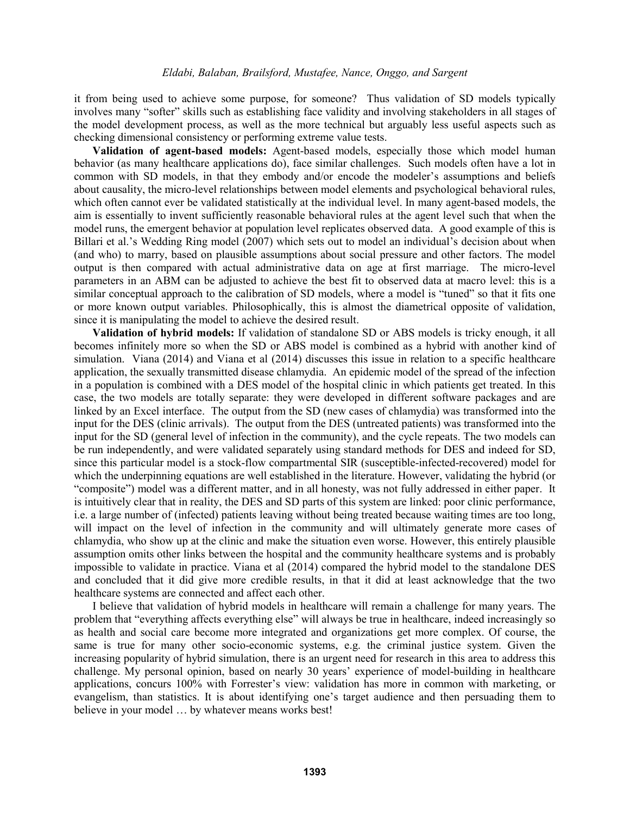it from being used to achieve some purpose, for someone? Thus validation of SD models typically involves many "softer" skills such as establishing face validity and involving stakeholders in all stages of the model development process, as well as the more technical but arguably less useful aspects such as checking dimensional consistency or performing extreme value tests.

**Validation of agent-based models:** Agent-based models, especially those which model human behavior (as many healthcare applications do), face similar challenges. Such models often have a lot in common with SD models, in that they embody and/or encode the modeler's assumptions and beliefs about causality, the micro-level relationships between model elements and psychological behavioral rules, which often cannot ever be validated statistically at the individual level. In many agent-based models, the aim is essentially to invent sufficiently reasonable behavioral rules at the agent level such that when the model runs, the emergent behavior at population level replicates observed data. A good example of this is Billari et al.'s Wedding Ring model (2007) which sets out to model an individual's decision about when (and who) to marry, based on plausible assumptions about social pressure and other factors. The model output is then compared with actual administrative data on age at first marriage. The micro-level parameters in an ABM can be adjusted to achieve the best fit to observed data at macro level: this is a similar conceptual approach to the calibration of SD models, where a model is "tuned" so that it fits one or more known output variables. Philosophically, this is almost the diametrical opposite of validation, since it is manipulating the model to achieve the desired result.

**Validation of hybrid models:** If validation of standalone SD or ABS models is tricky enough, it all becomes infinitely more so when the SD or ABS model is combined as a hybrid with another kind of simulation. Viana (2014) and Viana et al (2014) discusses this issue in relation to a specific healthcare application, the sexually transmitted disease chlamydia. An epidemic model of the spread of the infection in a population is combined with a DES model of the hospital clinic in which patients get treated. In this case, the two models are totally separate: they were developed in different software packages and are linked by an Excel interface. The output from the SD (new cases of chlamydia) was transformed into the input for the DES (clinic arrivals). The output from the DES (untreated patients) was transformed into the input for the SD (general level of infection in the community), and the cycle repeats. The two models can be run independently, and were validated separately using standard methods for DES and indeed for SD, since this particular model is a stock-flow compartmental SIR (susceptible-infected-recovered) model for which the underpinning equations are well established in the literature. However, validating the hybrid (or "composite") model was a different matter, and in all honesty, was not fully addressed in either paper. It is intuitively clear that in reality, the DES and SD parts of this system are linked: poor clinic performance, i.e. a large number of (infected) patients leaving without being treated because waiting times are too long, will impact on the level of infection in the community and will ultimately generate more cases of chlamydia, who show up at the clinic and make the situation even worse. However, this entirely plausible assumption omits other links between the hospital and the community healthcare systems and is probably impossible to validate in practice. Viana et al (2014) compared the hybrid model to the standalone DES and concluded that it did give more credible results, in that it did at least acknowledge that the two healthcare systems are connected and affect each other.

I believe that validation of hybrid models in healthcare will remain a challenge for many years. The problem that "everything affects everything else" will always be true in healthcare, indeed increasingly so as health and social care become more integrated and organizations get more complex. Of course, the same is true for many other socio-economic systems, e.g. the criminal justice system. Given the increasing popularity of hybrid simulation, there is an urgent need for research in this area to address this challenge. My personal opinion, based on nearly 30 years' experience of model-building in healthcare applications, concurs 100% with Forrester's view: validation has more in common with marketing, or evangelism, than statistics. It is about identifying one's target audience and then persuading them to believe in your model … by whatever means works best!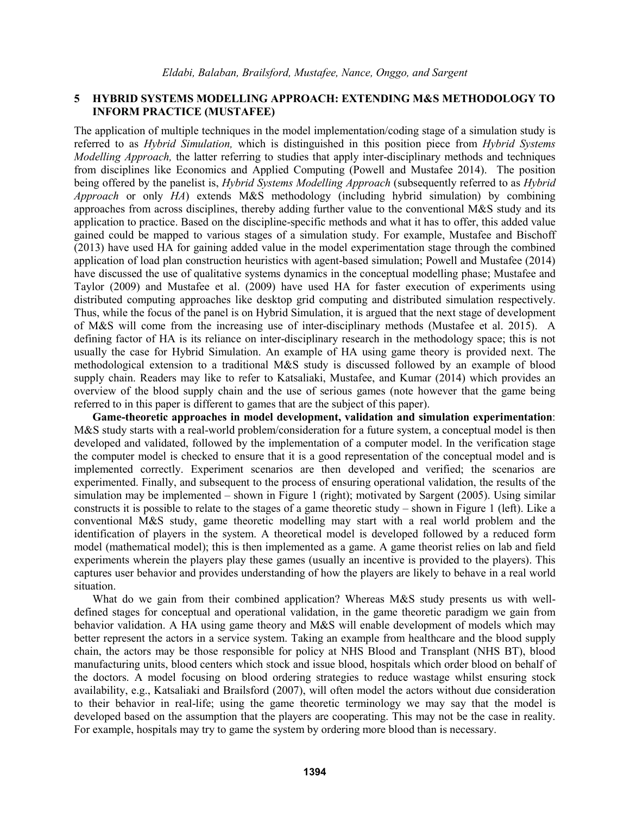## **5 HYBRID SYSTEMS MODELLING APPROACH: EXTENDING M&S METHODOLOGY TO INFORM PRACTICE (MUSTAFEE)**

The application of multiple techniques in the model implementation/coding stage of a simulation study is referred to as *Hybrid Simulation,* which is distinguished in this position piece from *Hybrid Systems Modelling Approach,* the latter referring to studies that apply inter-disciplinary methods and techniques from disciplines like Economics and Applied Computing (Powell and Mustafee 2014). The position being offered by the panelist is, *Hybrid Systems Modelling Approach* (subsequently referred to as *Hybrid Approach* or only *HA*) extends M&S methodology (including hybrid simulation) by combining approaches from across disciplines, thereby adding further value to the conventional M&S study and its application to practice. Based on the discipline-specific methods and what it has to offer, this added value gained could be mapped to various stages of a simulation study. For example, Mustafee and Bischoff (2013) have used HA for gaining added value in the model experimentation stage through the combined application of load plan construction heuristics with agent-based simulation; Powell and Mustafee (2014) have discussed the use of qualitative systems dynamics in the conceptual modelling phase; Mustafee and Taylor (2009) and Mustafee et al. (2009) have used HA for faster execution of experiments using distributed computing approaches like desktop grid computing and distributed simulation respectively. Thus, while the focus of the panel is on Hybrid Simulation, it is argued that the next stage of development of M&S will come from the increasing use of inter-disciplinary methods (Mustafee et al. 2015). A defining factor of HA is its reliance on inter-disciplinary research in the methodology space; this is not usually the case for Hybrid Simulation. An example of HA using game theory is provided next. The methodological extension to a traditional M&S study is discussed followed by an example of blood supply chain. Readers may like to refer to Katsaliaki, Mustafee, and Kumar (2014) which provides an overview of the blood supply chain and the use of serious games (note however that the game being referred to in this paper is different to games that are the subject of this paper).

**Game-theoretic approaches in model development, validation and simulation experimentation**: M&S study starts with a real-world problem/consideration for a future system, a conceptual model is then developed and validated, followed by the implementation of a computer model. In the verification stage the computer model is checked to ensure that it is a good representation of the conceptual model and is implemented correctly. Experiment scenarios are then developed and verified; the scenarios are experimented. Finally, and subsequent to the process of ensuring operational validation, the results of the simulation may be implemented – shown in Figure 1 (right); motivated by Sargent (2005). Using similar constructs it is possible to relate to the stages of a game theoretic study – shown in Figure 1 (left). Like a conventional M&S study, game theoretic modelling may start with a real world problem and the identification of players in the system. A theoretical model is developed followed by a reduced form model (mathematical model); this is then implemented as a game. A game theorist relies on lab and field experiments wherein the players play these games (usually an incentive is provided to the players). This captures user behavior and provides understanding of how the players are likely to behave in a real world situation.

What do we gain from their combined application? Whereas M&S study presents us with welldefined stages for conceptual and operational validation, in the game theoretic paradigm we gain from behavior validation. A HA using game theory and M&S will enable development of models which may better represent the actors in a service system. Taking an example from healthcare and the blood supply chain, the actors may be those responsible for policy at NHS Blood and Transplant (NHS BT), blood manufacturing units, blood centers which stock and issue blood, hospitals which order blood on behalf of the doctors. A model focusing on blood ordering strategies to reduce wastage whilst ensuring stock availability, e.g., Katsaliaki and Brailsford (2007), will often model the actors without due consideration to their behavior in real-life; using the game theoretic terminology we may say that the model is developed based on the assumption that the players are cooperating. This may not be the case in reality. For example, hospitals may try to game the system by ordering more blood than is necessary.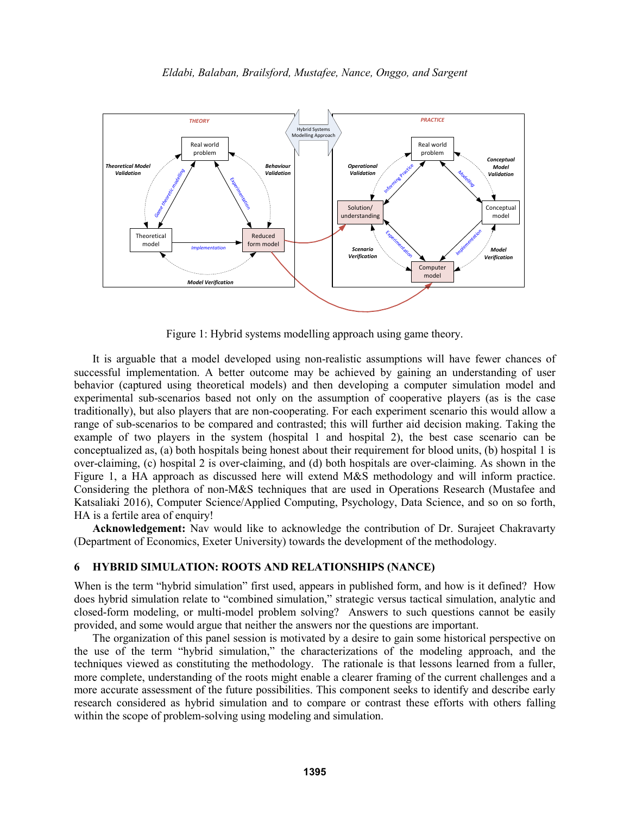

Figure 1: Hybrid systems modelling approach using game theory.

It is arguable that a model developed using non-realistic assumptions will have fewer chances of successful implementation. A better outcome may be achieved by gaining an understanding of user behavior (captured using theoretical models) and then developing a computer simulation model and experimental sub-scenarios based not only on the assumption of cooperative players (as is the case traditionally), but also players that are non-cooperating. For each experiment scenario this would allow a range of sub-scenarios to be compared and contrasted; this will further aid decision making. Taking the example of two players in the system (hospital 1 and hospital 2), the best case scenario can be conceptualized as, (a) both hospitals being honest about their requirement for blood units, (b) hospital 1 is over-claiming, (c) hospital 2 is over-claiming, and (d) both hospitals are over-claiming. As shown in the Figure 1, a HA approach as discussed here will extend M&S methodology and will inform practice. Considering the plethora of non-M&S techniques that are used in Operations Research (Mustafee and Katsaliaki 2016), Computer Science/Applied Computing, Psychology, Data Science, and so on so forth, HA is a fertile area of enquiry!

**Acknowledgement:** Nav would like to acknowledge the contribution of Dr. Surajeet Chakravarty (Department of Economics, Exeter University) towards the development of the methodology.

#### **6 HYBRID SIMULATION: ROOTS AND RELATIONSHIPS (NANCE)**

When is the term "hybrid simulation" first used, appears in published form, and how is it defined? How does hybrid simulation relate to "combined simulation," strategic versus tactical simulation, analytic and closed-form modeling, or multi-model problem solving? Answers to such questions cannot be easily provided, and some would argue that neither the answers nor the questions are important.

The organization of this panel session is motivated by a desire to gain some historical perspective on the use of the term "hybrid simulation," the characterizations of the modeling approach, and the techniques viewed as constituting the methodology. The rationale is that lessons learned from a fuller, more complete, understanding of the roots might enable a clearer framing of the current challenges and a more accurate assessment of the future possibilities. This component seeks to identify and describe early research considered as hybrid simulation and to compare or contrast these efforts with others falling within the scope of problem-solving using modeling and simulation.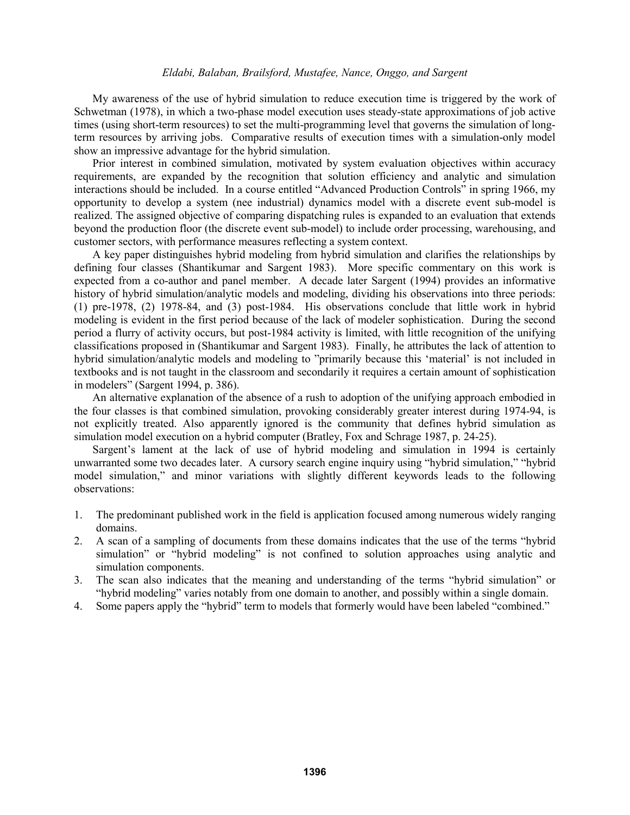My awareness of the use of hybrid simulation to reduce execution time is triggered by the work of Schwetman (1978), in which a two-phase model execution uses steady-state approximations of job active times (using short-term resources) to set the multi-programming level that governs the simulation of longterm resources by arriving jobs. Comparative results of execution times with a simulation-only model show an impressive advantage for the hybrid simulation.

Prior interest in combined simulation, motivated by system evaluation objectives within accuracy requirements, are expanded by the recognition that solution efficiency and analytic and simulation interactions should be included. In a course entitled "Advanced Production Controls" in spring 1966, my opportunity to develop a system (nee industrial) dynamics model with a discrete event sub-model is realized. The assigned objective of comparing dispatching rules is expanded to an evaluation that extends beyond the production floor (the discrete event sub-model) to include order processing, warehousing, and customer sectors, with performance measures reflecting a system context.

A key paper distinguishes hybrid modeling from hybrid simulation and clarifies the relationships by defining four classes (Shantikumar and Sargent 1983). More specific commentary on this work is expected from a co-author and panel member. A decade later Sargent (1994) provides an informative history of hybrid simulation/analytic models and modeling, dividing his observations into three periods: (1) pre-1978, (2) 1978-84, and (3) post-1984. His observations conclude that little work in hybrid modeling is evident in the first period because of the lack of modeler sophistication. During the second period a flurry of activity occurs, but post-1984 activity is limited, with little recognition of the unifying classifications proposed in (Shantikumar and Sargent 1983). Finally, he attributes the lack of attention to hybrid simulation/analytic models and modeling to "primarily because this 'material' is not included in textbooks and is not taught in the classroom and secondarily it requires a certain amount of sophistication in modelers" (Sargent 1994, p. 386).

An alternative explanation of the absence of a rush to adoption of the unifying approach embodied in the four classes is that combined simulation, provoking considerably greater interest during 1974-94, is not explicitly treated. Also apparently ignored is the community that defines hybrid simulation as simulation model execution on a hybrid computer (Bratley, Fox and Schrage 1987, p. 24-25).

Sargent's lament at the lack of use of hybrid modeling and simulation in 1994 is certainly unwarranted some two decades later. A cursory search engine inquiry using "hybrid simulation," "hybrid model simulation," and minor variations with slightly different keywords leads to the following observations:

- 1. The predominant published work in the field is application focused among numerous widely ranging domains.
- 2. A scan of a sampling of documents from these domains indicates that the use of the terms "hybrid simulation" or "hybrid modeling" is not confined to solution approaches using analytic and simulation components.
- 3. The scan also indicates that the meaning and understanding of the terms "hybrid simulation" or "hybrid modeling" varies notably from one domain to another, and possibly within a single domain.
- 4. Some papers apply the "hybrid" term to models that formerly would have been labeled "combined."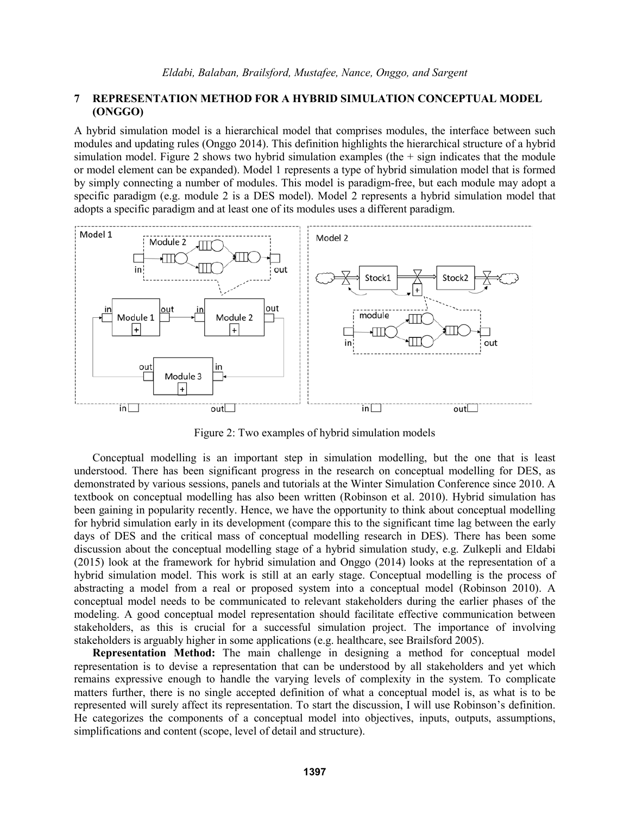## **7 REPRESENTATION METHOD FOR A HYBRID SIMULATION CONCEPTUAL MODEL (ONGGO)**

A hybrid simulation model is a hierarchical model that comprises modules, the interface between such modules and updating rules (Onggo 2014). This definition highlights the hierarchical structure of a hybrid simulation model. Figure 2 shows two hybrid simulation examples (the  $+$  sign indicates that the module or model element can be expanded). Model 1 represents a type of hybrid simulation model that is formed by simply connecting a number of modules. This model is paradigm-free, but each module may adopt a specific paradigm (e.g. module 2 is a DES model). Model 2 represents a hybrid simulation model that adopts a specific paradigm and at least one of its modules uses a different paradigm.



Figure 2: Two examples of hybrid simulation models

Conceptual modelling is an important step in simulation modelling, but the one that is least understood. There has been significant progress in the research on conceptual modelling for DES, as demonstrated by various sessions, panels and tutorials at the Winter Simulation Conference since 2010. A textbook on conceptual modelling has also been written (Robinson et al. 2010). Hybrid simulation has been gaining in popularity recently. Hence, we have the opportunity to think about conceptual modelling for hybrid simulation early in its development (compare this to the significant time lag between the early days of DES and the critical mass of conceptual modelling research in DES). There has been some discussion about the conceptual modelling stage of a hybrid simulation study, e.g. Zulkepli and Eldabi (2015) look at the framework for hybrid simulation and Onggo (2014) looks at the representation of a hybrid simulation model. This work is still at an early stage. Conceptual modelling is the process of abstracting a model from a real or proposed system into a conceptual model (Robinson 2010). A conceptual model needs to be communicated to relevant stakeholders during the earlier phases of the modeling. A good conceptual model representation should facilitate effective communication between stakeholders, as this is crucial for a successful simulation project. The importance of involving stakeholders is arguably higher in some applications (e.g. healthcare, see Brailsford 2005).

**Representation Method:** The main challenge in designing a method for conceptual model representation is to devise a representation that can be understood by all stakeholders and yet which remains expressive enough to handle the varying levels of complexity in the system. To complicate matters further, there is no single accepted definition of what a conceptual model is, as what is to be represented will surely affect its representation. To start the discussion, I will use Robinson's definition. He categorizes the components of a conceptual model into objectives, inputs, outputs, assumptions, simplifications and content (scope, level of detail and structure).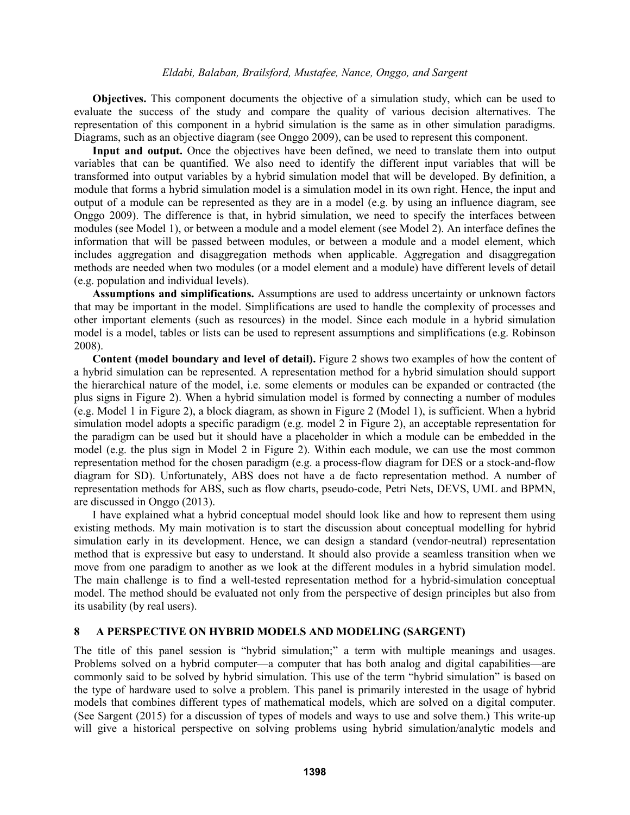**Objectives.** This component documents the objective of a simulation study, which can be used to evaluate the success of the study and compare the quality of various decision alternatives. The representation of this component in a hybrid simulation is the same as in other simulation paradigms. Diagrams, such as an objective diagram (see Onggo 2009), can be used to represent this component.

**Input and output.** Once the objectives have been defined, we need to translate them into output variables that can be quantified. We also need to identify the different input variables that will be transformed into output variables by a hybrid simulation model that will be developed. By definition, a module that forms a hybrid simulation model is a simulation model in its own right. Hence, the input and output of a module can be represented as they are in a model (e.g. by using an influence diagram, see Onggo 2009). The difference is that, in hybrid simulation, we need to specify the interfaces between modules (see Model 1), or between a module and a model element (see Model 2). An interface defines the information that will be passed between modules, or between a module and a model element, which includes aggregation and disaggregation methods when applicable. Aggregation and disaggregation methods are needed when two modules (or a model element and a module) have different levels of detail (e.g. population and individual levels).

**Assumptions and simplifications.** Assumptions are used to address uncertainty or unknown factors that may be important in the model. Simplifications are used to handle the complexity of processes and other important elements (such as resources) in the model. Since each module in a hybrid simulation model is a model, tables or lists can be used to represent assumptions and simplifications (e.g. Robinson 2008).

**Content (model boundary and level of detail).** Figure 2 shows two examples of how the content of a hybrid simulation can be represented. A representation method for a hybrid simulation should support the hierarchical nature of the model, i.e. some elements or modules can be expanded or contracted (the plus signs in Figure 2). When a hybrid simulation model is formed by connecting a number of modules (e.g. Model 1 in Figure 2), a block diagram, as shown in Figure 2 (Model 1), is sufficient. When a hybrid simulation model adopts a specific paradigm (e.g. model 2 in Figure 2), an acceptable representation for the paradigm can be used but it should have a placeholder in which a module can be embedded in the model (e.g. the plus sign in Model 2 in Figure 2). Within each module, we can use the most common representation method for the chosen paradigm (e.g. a process-flow diagram for DES or a stock-and-flow diagram for SD). Unfortunately, ABS does not have a de facto representation method. A number of representation methods for ABS, such as flow charts, pseudo-code, Petri Nets, DEVS, UML and BPMN, are discussed in Onggo (2013).

I have explained what a hybrid conceptual model should look like and how to represent them using existing methods. My main motivation is to start the discussion about conceptual modelling for hybrid simulation early in its development. Hence, we can design a standard (vendor-neutral) representation method that is expressive but easy to understand. It should also provide a seamless transition when we move from one paradigm to another as we look at the different modules in a hybrid simulation model. The main challenge is to find a well-tested representation method for a hybrid-simulation conceptual model. The method should be evaluated not only from the perspective of design principles but also from its usability (by real users).

### **8 A PERSPECTIVE ON HYBRID MODELS AND MODELING (SARGENT)**

The title of this panel session is "hybrid simulation;" a term with multiple meanings and usages. Problems solved on a hybrid computer—a computer that has both analog and digital capabilities—are commonly said to be solved by hybrid simulation. This use of the term "hybrid simulation" is based on the type of hardware used to solve a problem. This panel is primarily interested in the usage of hybrid models that combines different types of mathematical models, which are solved on a digital computer. (See Sargent (2015) for a discussion of types of models and ways to use and solve them.) This write-up will give a historical perspective on solving problems using hybrid simulation/analytic models and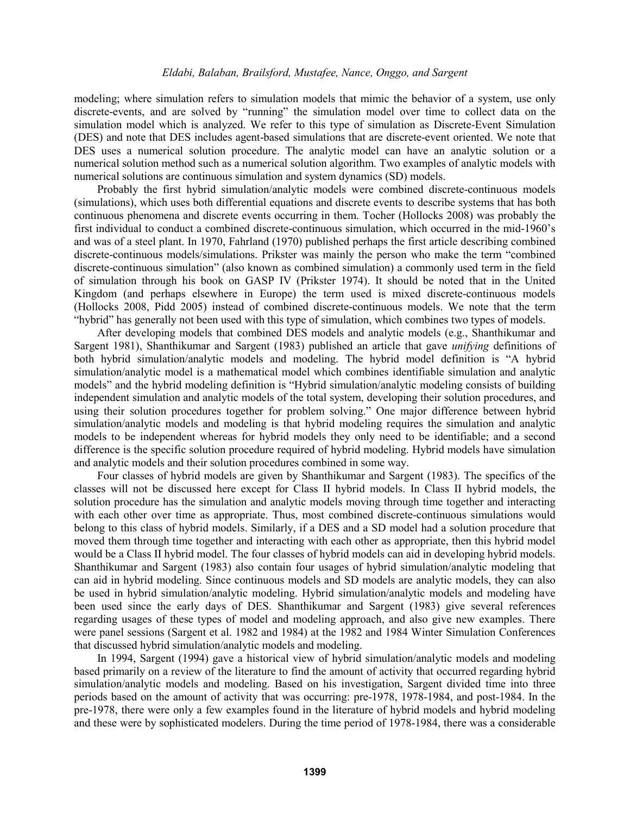modeling; where simulation refers to simulation models that mimic the behavior of a system, use only discrete-events, and are solved by "running" the simulation model over time to collect data on the simulation model which is analyzed. We refer to this type of simulation as Discrete-Event Simulation (DES) and note that DES includes agent-based simulations that are discrete-event oriented. We note that DES uses a numerical solution procedure. The analytic model can have an analytic solution or a numerical solution method such as a numerical solution algorithm. Two examples of analytic models with numerical solutions are continuous simulation and system dynamics (SD) models.

Probably the first hybrid simulation/analytic models were combined discrete-continuous models (simulations), which uses both differential equations and discrete events to describe systems that has both continuous phenomena and discrete events occurring in them. Tocher (Hollocks 2008) was probably the first individual to conduct a combined discrete-continuous simulation, which occurred in the mid-1960's and was of a steel plant. In 1970, Fahrland (1970) published perhaps the first article describing combined discrete-continuous models/simulations. Prikster was mainly the person who make the term "combined discrete-continuous simulation" (also known as combined simulation) a commonly used term in the field of simulation through his book on GASP IV (Prikster 1974). It should be noted that in the United Kingdom (and perhaps elsewhere in Europe) the term used is mixed discrete-continuous models (Hollocks 2008, Pidd 2005) instead of combined discrete-continuous models. We note that the term "hybrid" has generally not been used with this type of simulation, which combines two types of models.

After developing models that combined DES models and analytic models (e.g., Shanthikumar and Sargent 1981), Shanthikumar and Sargent (1983) published an article that gave *unifying* definitions of both hybrid simulation/analytic models and modeling. The hybrid model definition is "A hybrid simulation/analytic model is a mathematical model which combines identifiable simulation and analytic models" and the hybrid modeling definition is "Hybrid simulation/analytic modeling consists of building independent simulation and analytic models of the total system, developing their solution procedures, and using their solution procedures together for problem solving." One major difference between hybrid simulation/analytic models and modeling is that hybrid modeling requires the simulation and analytic models to be independent whereas for hybrid models they only need to be identifiable; and a second difference is the specific solution procedure required of hybrid modeling. Hybrid models have simulation and analytic models and their solution procedures combined in some way.

Four classes of hybrid models are given by Shanthikumar and Sargent (1983). The specifics of the classes will not be discussed here except for Class II hybrid models. In Class II hybrid models, the solution procedure has the simulation and analytic models moving through time together and interacting with each other over time as appropriate. Thus, most combined discrete-continuous simulations would belong to this class of hybrid models. Similarly, if a DES and a SD model had a solution procedure that moved them through time together and interacting with each other as appropriate, then this hybrid model would be a Class II hybrid model. The four classes of hybrid models can aid in developing hybrid models. Shanthikumar and Sargent (1983) also contain four usages of hybrid simulation/analytic modeling that can aid in hybrid modeling. Since continuous models and SD models are analytic models, they can also be used in hybrid simulation/analytic modeling. Hybrid simulation/analytic models and modeling have been used since the early days of DES. Shanthikumar and Sargent (1983) give several references regarding usages of these types of model and modeling approach, and also give new examples. There were panel sessions (Sargent et al. 1982 and 1984) at the 1982 and 1984 Winter Simulation Conferences that discussed hybrid simulation/analytic models and modeling.

In 1994, Sargent (1994) gave a historical view of hybrid simulation/analytic models and modeling based primarily on a review of the literature to find the amount of activity that occurred regarding hybrid simulation/analytic models and modeling. Based on his investigation, Sargent divided time into three periods based on the amount of activity that was occurring: pre-1978, 1978-1984, and post-1984. In the pre-1978, there were only a few examples found in the literature of hybrid models and hybrid modeling and these were by sophisticated modelers. During the time period of 1978-1984, there was a considerable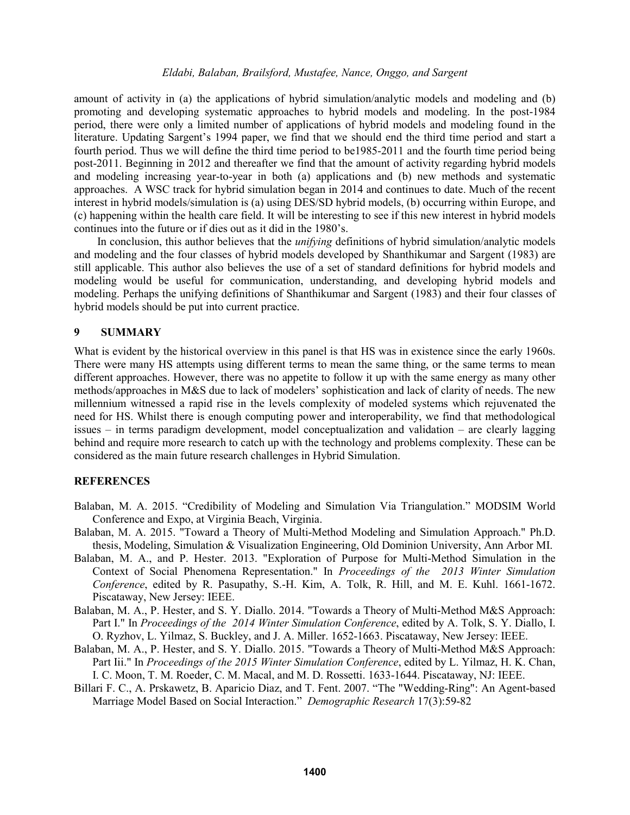amount of activity in (a) the applications of hybrid simulation/analytic models and modeling and (b) promoting and developing systematic approaches to hybrid models and modeling. In the post-1984 period, there were only a limited number of applications of hybrid models and modeling found in the literature. Updating Sargent's 1994 paper, we find that we should end the third time period and start a fourth period. Thus we will define the third time period to be1985-2011 and the fourth time period being post-2011. Beginning in 2012 and thereafter we find that the amount of activity regarding hybrid models and modeling increasing year-to-year in both (a) applications and (b) new methods and systematic approaches. A WSC track for hybrid simulation began in 2014 and continues to date. Much of the recent interest in hybrid models/simulation is (a) using DES/SD hybrid models, (b) occurring within Europe, and (c) happening within the health care field. It will be interesting to see if this new interest in hybrid models continues into the future or if dies out as it did in the 1980's.

In conclusion, this author believes that the *unifying* definitions of hybrid simulation/analytic models and modeling and the four classes of hybrid models developed by Shanthikumar and Sargent (1983) are still applicable. This author also believes the use of a set of standard definitions for hybrid models and modeling would be useful for communication, understanding, and developing hybrid models and modeling. Perhaps the unifying definitions of Shanthikumar and Sargent (1983) and their four classes of hybrid models should be put into current practice.

### **9 SUMMARY**

What is evident by the historical overview in this panel is that HS was in existence since the early 1960s. There were many HS attempts using different terms to mean the same thing, or the same terms to mean different approaches. However, there was no appetite to follow it up with the same energy as many other methods/approaches in M&S due to lack of modelers' sophistication and lack of clarity of needs. The new millennium witnessed a rapid rise in the levels complexity of modeled systems which rejuvenated the need for HS. Whilst there is enough computing power and interoperability, we find that methodological issues – in terms paradigm development, model conceptualization and validation – are clearly lagging behind and require more research to catch up with the technology and problems complexity. These can be considered as the main future research challenges in Hybrid Simulation.

### **REFERENCES**

- Balaban, M. A. 2015. "Credibility of Modeling and Simulation Via Triangulation." MODSIM World Conference and Expo, at Virginia Beach, Virginia.
- Balaban, M. A. 2015. "Toward a Theory of Multi-Method Modeling and Simulation Approach." Ph.D. thesis, Modeling, Simulation & Visualization Engineering, Old Dominion University, Ann Arbor MI.
- Balaban, M. A., and P. Hester. 2013. "Exploration of Purpose for Multi-Method Simulation in the Context of Social Phenomena Representation." In *Proceedings of the 2013 Winter Simulation Conference*, edited by R. Pasupathy, S.-H. Kim, A. Tolk, R. Hill, and M. E. Kuhl. 1661-1672. Piscataway, New Jersey: IEEE.
- Balaban, M. A., P. Hester, and S. Y. Diallo. 2014. "Towards a Theory of Multi-Method M&S Approach: Part I." In *Proceedings of the 2014 Winter Simulation Conference*, edited by A. Tolk, S. Y. Diallo, I. O. Ryzhov, L. Yilmaz, S. Buckley, and J. A. Miller. 1652-1663. Piscataway, New Jersey: IEEE.
- Balaban, M. A., P. Hester, and S. Y. Diallo. 2015. "Towards a Theory of Multi-Method M&S Approach: Part Iii." In *Proceedings of the 2015 Winter Simulation Conference*, edited by L. Yilmaz, H. K. Chan, I. C. Moon, T. M. Roeder, C. M. Macal, and M. D. Rossetti. 1633-1644. Piscataway, NJ: IEEE.
- Billari F. C., A. Prskawetz, B. Aparicio Diaz, and T. Fent. 2007. "The "Wedding-Ring": An Agent-based Marriage Model Based on Social Interaction." *Demographic Research* 17(3):59-82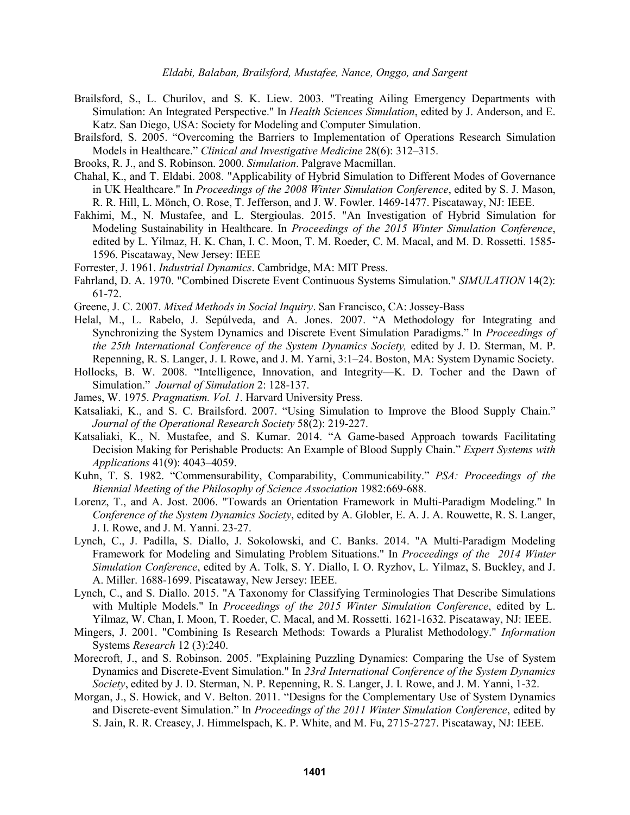- Brailsford, S., L. Churilov, and S. K. Liew. 2003. "Treating Ailing Emergency Departments with Simulation: An Integrated Perspective." In *Health Sciences Simulation*, edited by J. Anderson, and E. Katz. San Diego, USA: Society for Modeling and Computer Simulation.
- Brailsford, S. 2005. "Overcoming the Barriers to Implementation of Operations Research Simulation Models in Healthcare." *Clinical and Investigative Medicine* 28(6): 312–315.
- Brooks, R. J., and S. Robinson. 2000. *Simulation*. Palgrave Macmillan.
- Chahal, K., and T. Eldabi. 2008. "Applicability of Hybrid Simulation to Different Modes of Governance in UK Healthcare." In *Proceedings of the 2008 Winter Simulation Conference*, edited by S. J. Mason, R. R. Hill, L. Mönch, O. Rose, T. Jefferson, and J. W. Fowler. 1469-1477. Piscataway, NJ: IEEE.
- Fakhimi, M., N. Mustafee, and L. Stergioulas. 2015. "An Investigation of Hybrid Simulation for Modeling Sustainability in Healthcare. In *Proceedings of the 2015 Winter Simulation Conference*, edited by L. Yilmaz, H. K. Chan, I. C. Moon, T. M. Roeder, C. M. Macal, and M. D. Rossetti. 1585- 1596. Piscataway, New Jersey: IEEE
- Forrester, J. 1961. *Industrial Dynamics*. Cambridge, MA: MIT Press.
- Fahrland, D. A. 1970. "Combined Discrete Event Continuous Systems Simulation." *SIMULATION* 14(2): 61-72.
- Greene, J. C. 2007. *Mixed Methods in Social Inquiry*. San Francisco, CA: Jossey-Bass
- Helal, M., L. Rabelo, J. Sepúlveda, and A. Jones. 2007. "A Methodology for Integrating and Synchronizing the System Dynamics and Discrete Event Simulation Paradigms." In *Proceedings of the 25th International Conference of the System Dynamics Society,* edited by J. D. Sterman, M. P. Repenning, R. S. Langer, J. I. Rowe, and J. M. Yarni, 3:1–24. Boston, MA: System Dynamic Society.
- Hollocks, B. W. 2008. "Intelligence, Innovation, and Integrity—K. D. Tocher and the Dawn of Simulation." *Journal of Simulation* 2: 128-137.
- James, W. 1975. *Pragmatism. Vol. 1*. Harvard University Press.
- Katsaliaki, K., and S. C. Brailsford. 2007. "Using Simulation to Improve the Blood Supply Chain." *Journal of the Operational Research Society* 58(2): 219-227.
- Katsaliaki, K., N. Mustafee, and S. Kumar. 2014. "A Game-based Approach towards Facilitating Decision Making for Perishable Products: An Example of Blood Supply Chain." *Expert Systems with Applications* 41(9): 4043–4059.
- Kuhn, T. S. 1982. "Commensurability, Comparability, Communicability." *PSA: Proceedings of the Biennial Meeting of the Philosophy of Science Association* 1982:669-688.
- Lorenz, T., and A. Jost. 2006. "Towards an Orientation Framework in Multi-Paradigm Modeling." In *Conference of the System Dynamics Society*, edited by A. Globler, E. A. J. A. Rouwette, R. S. Langer, J. I. Rowe, and J. M. Yanni. 23-27.
- Lynch, C., J. Padilla, S. Diallo, J. Sokolowski, and C. Banks. 2014. "A Multi-Paradigm Modeling Framework for Modeling and Simulating Problem Situations." In *Proceedings of the 2014 Winter Simulation Conference*, edited by A. Tolk, S. Y. Diallo, I. O. Ryzhov, L. Yilmaz, S. Buckley, and J. A. Miller. 1688-1699. Piscataway, New Jersey: IEEE.
- Lynch, C., and S. Diallo. 2015. "A Taxonomy for Classifying Terminologies That Describe Simulations with Multiple Models." In *Proceedings of the 2015 Winter Simulation Conference*, edited by L. Yilmaz, W. Chan, I. Moon, T. Roeder, C. Macal, and M. Rossetti. 1621-1632. Piscataway, NJ: IEEE.
- Mingers, J. 2001. "Combining Is Research Methods: Towards a Pluralist Methodology." *Information*  Systems *Research* 12 (3):240.
- Morecroft, J., and S. Robinson. 2005. "Explaining Puzzling Dynamics: Comparing the Use of System Dynamics and Discrete-Event Simulation." In *23rd International Conference of the System Dynamics Society*, edited by J. D. Sterman, N. P. Repenning, R. S. Langer, J. I. Rowe, and J. M. Yanni, 1-32.
- Morgan, J., S. Howick, and V. Belton. 2011. "Designs for the Complementary Use of System Dynamics and Discrete-event Simulation." In *Proceedings of the 2011 Winter Simulation Conference*, edited by S. Jain, R. R. Creasey, J. Himmelspach, K. P. White, and M. Fu, 2715-2727. Piscataway, NJ: IEEE.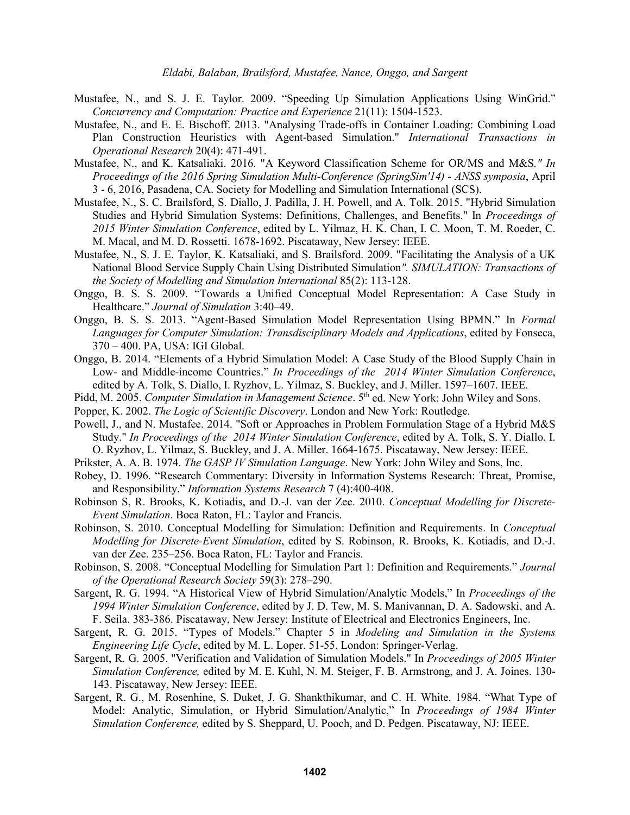- Mustafee, N., and S. J. E. Taylor. 2009. "Speeding Up Simulation Applications Using WinGrid." *Concurrency and Computation: Practice and Experience* 21(11): 1504-1523.
- Mustafee, N., and E. E. Bischoff. 2013. "Analysing Trade-offs in Container Loading: Combining Load Plan Construction Heuristics with Agent-based Simulation." *International Transactions in Operational Research* 20(4): 471-491.
- Mustafee, N., and K. Katsaliaki. 2016. "A Keyword Classification Scheme for OR/MS and M&S*." In Proceedings of the 2016 Spring Simulation Multi-Conference (SpringSim'14) - ANSS symposia*, April 3 - 6, 2016, Pasadena, CA. Society for Modelling and Simulation International (SCS).
- Mustafee, N., S. C. Brailsford, S. Diallo, J. Padilla, J. H. Powell, and A. Tolk. 2015. "Hybrid Simulation Studies and Hybrid Simulation Systems: Definitions, Challenges, and Benefits." In *Proceedings of 2015 Winter Simulation Conference*, edited by L. Yilmaz, H. K. Chan, I. C. Moon, T. M. Roeder, C. M. Macal, and M. D. Rossetti. 1678-1692. Piscataway, New Jersey: IEEE.
- Mustafee, N., S. J. E. Taylor, K. Katsaliaki, and S. Brailsford. 2009. "Facilitating the Analysis of a UK National Blood Service Supply Chain Using Distributed Simulation*". SIMULATION: Transactions of the Society of Modelling and Simulation International* 85(2): 113-128.
- Onggo, B. S. S. 2009. "Towards a Unified Conceptual Model Representation: A Case Study in Healthcare." *Journal of Simulation* 3:40–49.
- Onggo, B. S. S. 2013. "Agent-Based Simulation Model Representation Using BPMN." In *Formal Languages for Computer Simulation: Transdisciplinary Models and Applications*, edited by Fonseca, 370 – 400. PA, USA: IGI Global.
- Onggo, B. 2014. "Elements of a Hybrid Simulation Model: A Case Study of the Blood Supply Chain in Low- and Middle-income Countries." *In Proceedings of the 2014 Winter Simulation Conference*, edited by A. Tolk, S. Diallo, I. Ryzhov, L. Yilmaz, S. Buckley, and J. Miller. 1597–1607. IEEE.
- Pidd, M. 2005. *Computer Simulation in Management Science*. 5<sup>th</sup> ed. New York: John Wiley and Sons.
- Popper, K. 2002. *The Logic of Scientific Discovery*. London and New York: Routledge.
- Powell, J., and N. Mustafee. 2014. "Soft or Approaches in Problem Formulation Stage of a Hybrid M&S Study." *In Proceedings of the 2014 Winter Simulation Conference*, edited by A. Tolk, S. Y. Diallo, I. O. Ryzhov, L. Yilmaz, S. Buckley, and J. A. Miller. 1664-1675. Piscataway, New Jersey: IEEE.
- Prikster, A. A. B. 1974. *The GASP IV Simulation Language*. New York: John Wiley and Sons, Inc.
- Robey, D. 1996. "Research Commentary: Diversity in Information Systems Research: Threat, Promise, and Responsibility." *Information Systems Research* 7 (4):400-408.
- Robinson S, R. Brooks, K. Kotiadis, and D.-J. van der Zee. 2010. *Conceptual Modelling for Discrete-Event Simulation*. Boca Raton, FL: Taylor and Francis.
- Robinson, S. 2010. Conceptual Modelling for Simulation: Definition and Requirements. In *Conceptual Modelling for Discrete-Event Simulation*, edited by S. Robinson, R. Brooks, K. Kotiadis, and D.-J. van der Zee. 235–256. Boca Raton, FL: Taylor and Francis.
- Robinson, S. 2008. "Conceptual Modelling for Simulation Part 1: Definition and Requirements." *Journal of the Operational Research Society* 59(3): 278–290.
- Sargent, R. G. 1994. "A Historical View of Hybrid Simulation/Analytic Models," In *Proceedings of the 1994 Winter Simulation Conference*, edited by J. D. Tew, M. S. Manivannan, D. A. Sadowski, and A. F. Seila. 383-386. Piscataway, New Jersey: Institute of Electrical and Electronics Engineers, Inc.
- Sargent, R. G. 2015. "Types of Models." Chapter 5 in *Modeling and Simulation in the Systems Engineering Life Cycle*, edited by M. L. Loper. 51-55. London: Springer-Verlag.
- Sargent, R. G. 2005. "Verification and Validation of Simulation Models." In *Proceedings of 2005 Winter Simulation Conference,* edited by M. E. Kuhl, N. M. Steiger, F. B. Armstrong, and J. A. Joines. 130- 143. Piscataway, New Jersey: IEEE.
- Sargent, R. G., M. Rosenhine, S. Duket, J. G. Shankthikumar, and C. H. White. 1984. "What Type of Model: Analytic, Simulation, or Hybrid Simulation/Analytic," In *Proceedings of 1984 Winter Simulation Conference,* edited by S. Sheppard, U. Pooch, and D. Pedgen. Piscataway, NJ: IEEE.